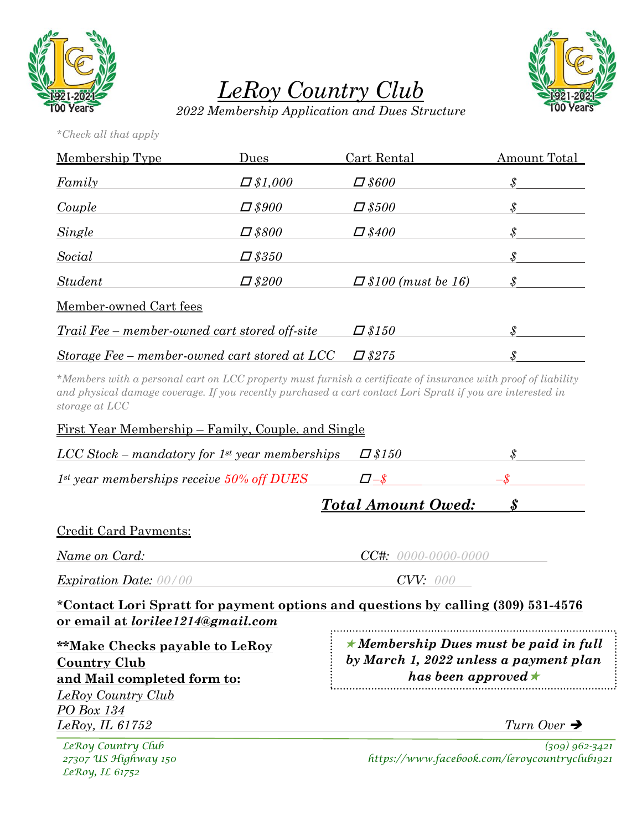



*LeRoy Country Club*

*2022 Membership Application and Dues Structure*

*\*Check all that apply*

| Membership Type                               | Dues           | Cart Rental               | Amount Total                                                     |
|-----------------------------------------------|----------------|---------------------------|------------------------------------------------------------------|
| Family                                        | $\Box$ \$1,000 | $\Box$ \$600              | $\pmb{\mathcal{S}}$                                              |
| Couple                                        | $\Box$ \$900   | $\Box$ \$500              |                                                                  |
| Single                                        | $\Box$ \$800   | $\Box$ \$400              | $\mathcal{S}% _{M_{1},M_{2}}^{\alpha,\beta,\gamma}(\varepsilon)$ |
| Social                                        | $\Box$ \$350   |                           | $\pmb{\mathcal{S}}$                                              |
| <i>Student</i>                                | $\Box$ \$200   | $\Box$ \$100 (must be 16) |                                                                  |
| Member-owned Cart fees                        |                |                           |                                                                  |
| Trail Fee – member-owned cart stored off-site |                | $\Box$ \$150              | $\mathcal S$                                                     |
| Storage Fee – member-owned cart stored at LCC |                | $\Box$ \$275              | $\pmb{\mathcal{S}}$                                              |

*\*Members with a personal cart on LCC property must furnish a certificate of insurance with proof of liability and physical damage coverage. If you recently purchased a cart contact Lori Spratt if you are interested in storage at LCC*

| <u>First Year Membership – Family, Couple, and Single</u>                                                                    |                       |                                                                     |                         |  |  |  |
|------------------------------------------------------------------------------------------------------------------------------|-----------------------|---------------------------------------------------------------------|-------------------------|--|--|--|
| $LCC Stock-mandatory for 1st year members$                                                                                   |                       | $\Box$ \$150                                                        | \$.                     |  |  |  |
| $1^{st}$ year memberships receive $50\%$ off DUES                                                                            |                       | $\Box - S$                                                          |                         |  |  |  |
|                                                                                                                              |                       | <b>Total Amount Owed:</b>                                           | $\boldsymbol{s}$        |  |  |  |
| <b>Credit Card Payments:</b>                                                                                                 |                       |                                                                     |                         |  |  |  |
| Name on Card:                                                                                                                | $CC#: 0000-0000-0000$ |                                                                     |                         |  |  |  |
| <b>Expiration Date: 00/00</b>                                                                                                | CVV: 000              |                                                                     |                         |  |  |  |
| *Contact Lori Spratt for payment options and questions by calling (309) 531-4576<br>or email at <i>lorilee1214@gmail.com</i> |                       |                                                                     |                         |  |  |  |
| <b>**Make Checks payable to LeRoy</b>                                                                                        |                       | $\star$ Membership Dues must be paid in full                        |                         |  |  |  |
| <b>Country Club</b><br>and Mail completed form to:                                                                           |                       | by March 1, 2022 unless a payment plan<br>has been approved $\star$ |                         |  |  |  |
| LeRoy Country Club                                                                                                           |                       |                                                                     |                         |  |  |  |
| PO Box 134<br>LeRoy, IL $61752$                                                                                              |                       |                                                                     | Turn Over $\rightarrow$ |  |  |  |
|                                                                                                                              |                       |                                                                     |                         |  |  |  |

*LeRoy, IL 61752*

*LeRoy Country Club (309) 962-3421 27307 US Highway 150 https://www.facebook.com/leroycountryclub1921*